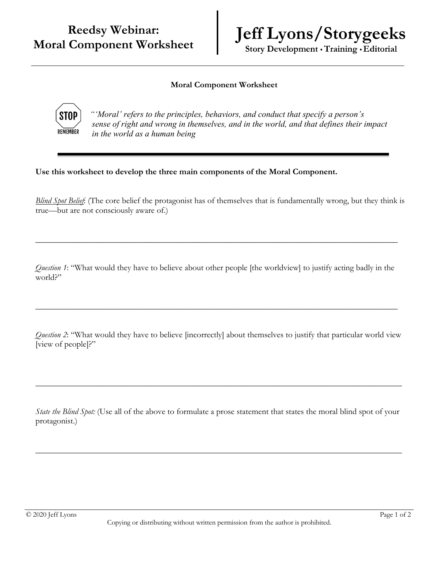## **Reedsy Webinar: Moral Component Worksheet**

## **Jeff Lyons/Storygeeks**

Story Development · Training · Editorial

## **Moral Component Worksheet**



*"'Moral' refers to the principles, behaviors, and conduct that specify a person's sense of right and wrong in themselves, and in the world, and that defines their impact in the world as a human being*

**Use this worksheet to develop the three main components of the Moral Component.** 

*Blind Spot Belief*: (The core belief the protagonist has of themselves that is fundamentally wrong, but they think is true—but are not consciously aware of.)

*Question 1*: "What would they have to believe about other people [the worldview] to justify acting badly in the world?"

\_\_\_\_\_\_\_\_\_\_\_\_\_\_\_\_\_\_\_\_\_\_\_\_\_\_\_\_\_\_\_\_\_\_\_\_\_\_\_\_\_\_\_\_\_\_\_\_\_\_\_\_\_\_\_\_\_\_\_\_\_\_\_\_\_\_\_\_\_\_\_\_\_\_\_\_\_\_\_\_\_\_\_\_\_

\_\_\_\_\_\_\_\_\_\_\_\_\_\_\_\_\_\_\_\_\_\_\_\_\_\_\_\_\_\_\_\_\_\_\_\_\_\_\_\_\_\_\_\_\_\_\_\_\_\_\_\_\_\_\_\_\_\_\_\_\_\_\_\_\_\_\_\_\_\_\_\_\_\_\_\_\_\_\_\_\_\_\_\_\_

*Question 2*: "What would they have to believe [incorrectly] about themselves to justify that particular world view [view of people]?"

*State the Blind Spot:* (Use all of the above to formulate a prose statement that states the moral blind spot of your protagonist.)

 $\_$  , and the set of the set of the set of the set of the set of the set of the set of the set of the set of the set of the set of the set of the set of the set of the set of the set of the set of the set of the set of th

 $\_$  , and the set of the set of the set of the set of the set of the set of the set of the set of the set of the set of the set of the set of the set of the set of the set of the set of the set of the set of the set of th